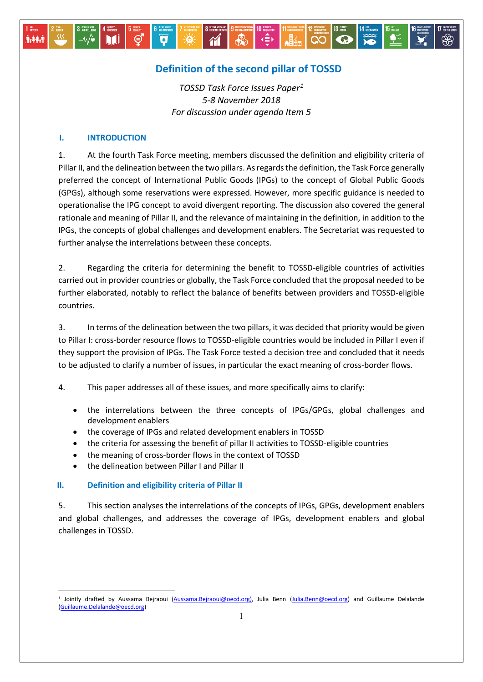# **Definition of the second pillar of TOSSD**

 $\gamma$ 

Ø

⊜

 $\frac{1}{\sqrt{2}}$ 

 $\|$   $\mathbb{H}_{4-}$ 

 $\log$ 

 $|\bigcirc|$ 

*TOSSD Task Force Issues Paper[1](#page-0-0) 5-8 November 2018 For discussion under agenda Item 5*

### **I. INTRODUCTION**

**İvêri** 

1. At the fourth Task Force meeting, members discussed the definition and eligibility criteria of Pillar II, and the delineation between the two pillars. As regards the definition, the Task Force generally preferred the concept of International Public Goods (IPGs) to the concept of Global Public Goods (GPGs), although some reservations were expressed. However, more specific guidance is needed to operationalise the IPG concept to avoid divergent reporting. The discussion also covered the general rationale and meaning of Pillar II, and the relevance of maintaining in the definition, in addition to the IPGs, the concepts of global challenges and development enablers. The Secretariat was requested to further analyse the interrelations between these concepts.

2. Regarding the criteria for determining the benefit to TOSSD-eligible countries of activities carried out in provider countries or globally, the Task Force concluded that the proposal needed to be further elaborated, notably to reflect the balance of benefits between providers and TOSSD-eligible countries.

3. In terms of the delineation between the two pillars, it was decided that priority would be given to Pillar I: cross-border resource flows to TOSSD-eligible countries would be included in Pillar I even if they support the provision of IPGs. The Task Force tested a decision tree and concluded that it needs to be adjusted to clarify a number of issues, in particular the exact meaning of cross-border flows.

4. This paper addresses all of these issues, and more specifically aims to clarify:

- the interrelations between the three concepts of IPGs/GPGs, global challenges and development enablers
- the coverage of IPGs and related development enablers in TOSSD
- the criteria for assessing the benefit of pillar II activities to TOSSD-eligible countries
- the meaning of cross-border flows in the context of TOSSD
- the delineation between Pillar I and Pillar II

#### **II. Definition and eligibility criteria of Pillar II**

<u>.</u>

5. This section analyses the interrelations of the concepts of IPGs, GPGs, development enablers and global challenges, and addresses the coverage of IPGs, development enablers and global challenges in TOSSD.

<span id="page-0-0"></span><sup>&</sup>lt;sup>1</sup> Jointly drafted by Aussama Bejraoui [\(Aussama.Bejraoui@oecd.org\),](mailto:Aussama.Bejraoui@oecd.org)) Julia Benn [\(Julia.Benn@oecd.org\)](mailto:Julia.Benn@oecd.org) and Guillaume Delalande [\(Guillaume.Delalande@oecd.org\)](mailto:Guillaume.Delalande@oecd.org)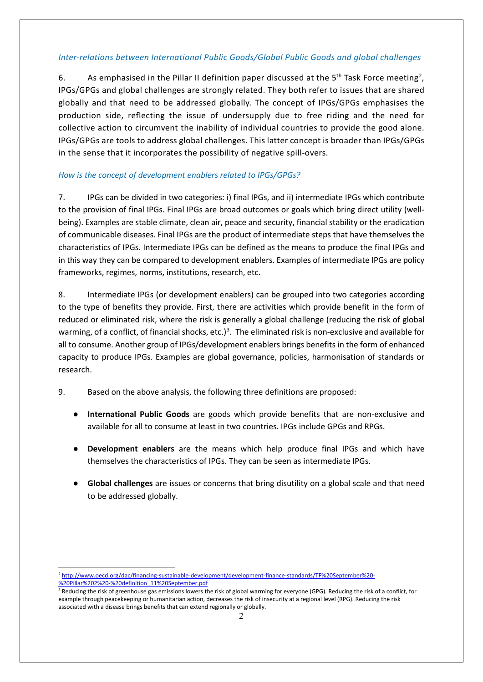### *Inter-relations between International Public Goods/Global Public Goods and global challenges*

6. As emphasised in the Pillar II definition paper discussed at the 5<sup>th</sup> Task Force meeting<sup>[2](#page-1-0)</sup>, IPGs/GPGs and global challenges are strongly related. They both refer to issues that are shared globally and that need to be addressed globally. The concept of IPGs/GPGs emphasises the production side, reflecting the issue of undersupply due to free riding and the need for collective action to circumvent the inability of individual countries to provide the good alone. IPGs/GPGs are tools to address global challenges. This latter concept is broader than IPGs/GPGs in the sense that it incorporates the possibility of negative spill-overs.

### *How is the concept of development enablers related to IPGs/GPGs?*

7. IPGs can be divided in two categories: i) final IPGs, and ii) intermediate IPGs which contribute to the provision of final IPGs. Final IPGs are broad outcomes or goals which bring direct utility (wellbeing). Examples are stable climate, clean air, peace and security, financial stability or the eradication of communicable diseases. Final IPGs are the product of intermediate steps that have themselves the characteristics of IPGs. Intermediate IPGs can be defined as the means to produce the final IPGs and in this way they can be compared to development enablers. Examples of intermediate IPGs are policy frameworks, regimes, norms, institutions, research, etc.

8. Intermediate IPGs (or development enablers) can be grouped into two categories according to the type of benefits they provide. First, there are activities which provide benefit in the form of reduced or eliminated risk, where the risk is generally a global challenge (reducing the risk of global warming, of a conflict, of financial shocks, etc.)<sup>[3](#page-1-1)</sup>. The eliminated risk is non-exclusive and available for all to consume. Another group of IPGs/development enablers brings benefits in the form of enhanced capacity to produce IPGs. Examples are global governance, policies, harmonisation of standards or research.

- 9. Based on the above analysis, the following three definitions are proposed:
	- **International Public Goods** are goods which provide benefits that are non-exclusive and available for all to consume at least in two countries. IPGs include GPGs and RPGs.
	- **Development enablers** are the means which help produce final IPGs and which have themselves the characteristics of IPGs. They can be seen as intermediate IPGs.
	- **Global challenges** are issues or concerns that bring disutility on a global scale and that need to be addressed globally.

<span id="page-1-0"></span><sup>&</sup>lt;u>.</u> <sup>2</sup> [http://www.oecd.org/dac/financing-sustainable-development/development-finance-standards/TF%20September%20-](http://www.oecd.org/dac/financing-sustainable-development/development-finance-standards/TF%20September%20-%20Pillar%202%20-%20definition_11%20September.pdf) [%20Pillar%202%20-%20definition\\_11%20September.pdf](http://www.oecd.org/dac/financing-sustainable-development/development-finance-standards/TF%20September%20-%20Pillar%202%20-%20definition_11%20September.pdf)

<span id="page-1-1"></span><sup>&</sup>lt;sup>3</sup> Reducing the risk of greenhouse gas emissions lowers the risk of global warming for everyone (GPG). Reducing the risk of a conflict, for example through peacekeeping or humanitarian action, decreases the risk of insecurity at a regional level (RPG). Reducing the risk associated with a disease brings benefits that can extend regionally or globally.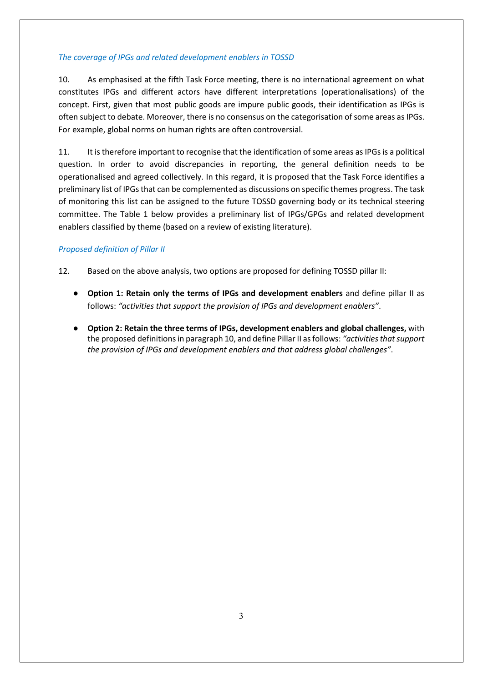### *The coverage of IPGs and related development enablers in TOSSD*

10. As emphasised at the fifth Task Force meeting, there is no international agreement on what constitutes IPGs and different actors have different interpretations (operationalisations) of the concept. First, given that most public goods are impure public goods, their identification as IPGs is often subject to debate. Moreover, there is no consensus on the categorisation of some areas as IPGs. For example, global norms on human rights are often controversial.

11. It is therefore important to recognise that the identification of some areas as IPGs is a political question. In order to avoid discrepancies in reporting, the general definition needs to be operationalised and agreed collectively. In this regard, it is proposed that the Task Force identifies a preliminary list of IPGs that can be complemented as discussions on specific themes progress. The task of monitoring this list can be assigned to the future TOSSD governing body or its technical steering committee. The Table 1 below provides a preliminary list of IPGs/GPGs and related development enablers classified by theme (based on a review of existing literature).

### *Proposed definition of Pillar II*

- 12. Based on the above analysis, two options are proposed for defining TOSSD pillar II:
	- **Option 1: Retain only the terms of IPGs and development enablers** and define pillar II as follows: *"activities that support the provision of IPGs and development enablers"*.
	- **Option 2: Retain the three terms of IPGs, development enablers and global challenges,** with the proposed definitions in paragraph 10, and define Pillar II as follows: *"activities that support the provision of IPGs and development enablers and that address global challenges"*.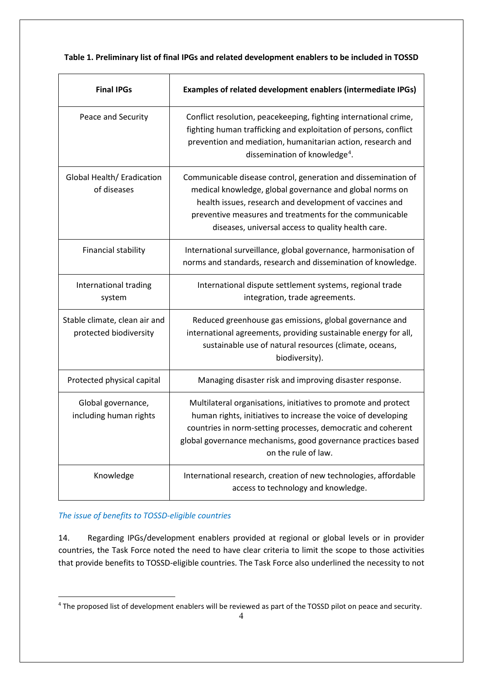### **Table 1. Preliminary list of final IPGs and related development enablers to be included in TOSSD**

| <b>Final IPGs</b>                                       | Examples of related development enablers (intermediate IPGs)                                                                                                                                                                                                                                          |
|---------------------------------------------------------|-------------------------------------------------------------------------------------------------------------------------------------------------------------------------------------------------------------------------------------------------------------------------------------------------------|
| Peace and Security                                      | Conflict resolution, peacekeeping, fighting international crime,<br>fighting human trafficking and exploitation of persons, conflict<br>prevention and mediation, humanitarian action, research and<br>dissemination of knowledge <sup>4</sup> .                                                      |
| Global Health/ Eradication<br>of diseases               | Communicable disease control, generation and dissemination of<br>medical knowledge, global governance and global norms on<br>health issues, research and development of vaccines and<br>preventive measures and treatments for the communicable<br>diseases, universal access to quality health care. |
| Financial stability                                     | International surveillance, global governance, harmonisation of<br>norms and standards, research and dissemination of knowledge.                                                                                                                                                                      |
| International trading<br>system                         | International dispute settlement systems, regional trade<br>integration, trade agreements.                                                                                                                                                                                                            |
| Stable climate, clean air and<br>protected biodiversity | Reduced greenhouse gas emissions, global governance and<br>international agreements, providing sustainable energy for all,<br>sustainable use of natural resources (climate, oceans,<br>biodiversity).                                                                                                |
| Protected physical capital                              | Managing disaster risk and improving disaster response.                                                                                                                                                                                                                                               |
| Global governance,<br>including human rights            | Multilateral organisations, initiatives to promote and protect<br>human rights, initiatives to increase the voice of developing<br>countries in norm-setting processes, democratic and coherent<br>global governance mechanisms, good governance practices based<br>on the rule of law.               |
| Knowledge                                               | International research, creation of new technologies, affordable<br>access to technology and knowledge.                                                                                                                                                                                               |

### *The issue of benefits to TOSSD-eligible countries*

14. Regarding IPGs/development enablers provided at regional or global levels or in provider countries, the Task Force noted the need to have clear criteria to limit the scope to those activities that provide benefits to TOSSD-eligible countries. The Task Force also underlined the necessity to not

<span id="page-3-0"></span><sup>-</sup><sup>4</sup> The proposed list of development enablers will be reviewed as part of the TOSSD pilot on peace and security.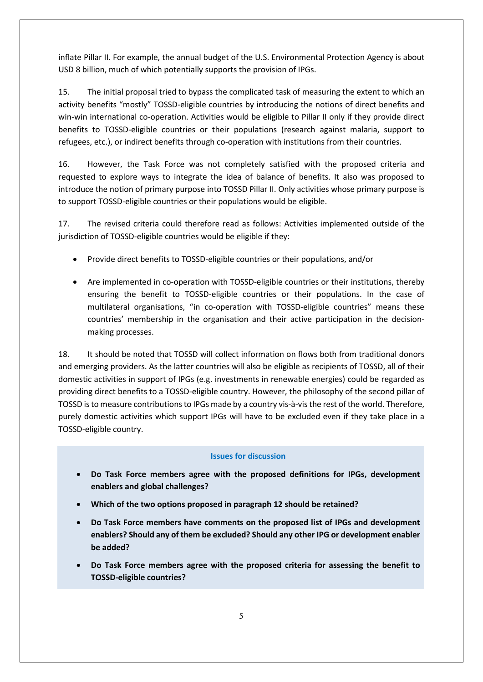inflate Pillar II. For example, the annual budget of the U.S. Environmental Protection Agency is about USD 8 billion, much of which potentially supports the provision of IPGs.

15. The initial proposal tried to bypass the complicated task of measuring the extent to which an activity benefits "mostly" TOSSD-eligible countries by introducing the notions of direct benefits and win-win international co-operation. Activities would be eligible to Pillar II only if they provide direct benefits to TOSSD-eligible countries or their populations (research against malaria, support to refugees, etc.), or indirect benefits through co-operation with institutions from their countries.

16. However, the Task Force was not completely satisfied with the proposed criteria and requested to explore ways to integrate the idea of balance of benefits. It also was proposed to introduce the notion of primary purpose into TOSSD Pillar II. Only activities whose primary purpose is to support TOSSD-eligible countries or their populations would be eligible.

17. The revised criteria could therefore read as follows: Activities implemented outside of the jurisdiction of TOSSD-eligible countries would be eligible if they:

- Provide direct benefits to TOSSD-eligible countries or their populations, and/or
- Are implemented in co-operation with TOSSD-eligible countries or their institutions, thereby ensuring the benefit to TOSSD-eligible countries or their populations. In the case of multilateral organisations, "in co-operation with TOSSD-eligible countries" means these countries' membership in the organisation and their active participation in the decisionmaking processes.

18. It should be noted that TOSSD will collect information on flows both from traditional donors and emerging providers. As the latter countries will also be eligible as recipients of TOSSD, all of their domestic activities in support of IPGs (e.g. investments in renewable energies) could be regarded as providing direct benefits to a TOSSD-eligible country. However, the philosophy of the second pillar of TOSSD is to measure contributions to IPGs made by a country vis-à-vis the rest of the world. Therefore, purely domestic activities which support IPGs will have to be excluded even if they take place in a TOSSD-eligible country.

#### **Issues for discussion**

- **Do Task Force members agree with the proposed definitions for IPGs, development enablers and global challenges?**
- **Which of the two options proposed in paragraph 12 should be retained?**
- **Do Task Force members have comments on the proposed list of IPGs and development enablers? Should any of them be excluded? Should any other IPG or development enabler be added?**
- **Do Task Force members agree with the proposed criteria for assessing the benefit to TOSSD-eligible countries?**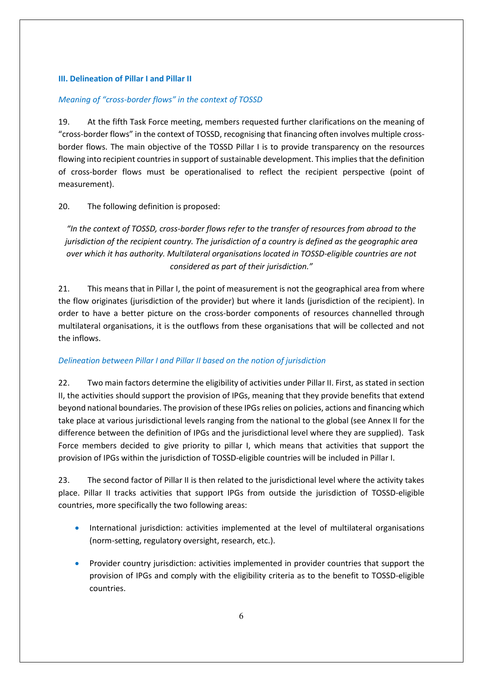### **III. Delineation of Pillar I and Pillar II**

### *Meaning of "cross-border flows" in the context of TOSSD*

19. At the fifth Task Force meeting, members requested further clarifications on the meaning of "cross-border flows" in the context of TOSSD, recognising that financing often involves multiple crossborder flows. The main objective of the TOSSD Pillar I is to provide transparency on the resources flowing into recipient countries in support of sustainable development. This implies that the definition of cross-border flows must be operationalised to reflect the recipient perspective (point of measurement).

### 20. The following definition is proposed:

*"In the context of TOSSD, cross-border flows refer to the transfer of resources from abroad to the jurisdiction of the recipient country. The jurisdiction of a country is defined as the geographic area over which it has authority. Multilateral organisations located in TOSSD-eligible countries are not considered as part of their jurisdiction."*

21. This means that in Pillar I, the point of measurement is not the geographical area from where the flow originates (jurisdiction of the provider) but where it lands (jurisdiction of the recipient). In order to have a better picture on the cross-border components of resources channelled through multilateral organisations, it is the outflows from these organisations that will be collected and not the inflows.

#### *Delineation between Pillar I and Pillar II based on the notion of jurisdiction*

22. Two main factors determine the eligibility of activities under Pillar II. First, as stated in section II, the activities should support the provision of IPGs, meaning that they provide benefits that extend beyond national boundaries. The provision of these IPGs relies on policies, actions and financing which take place at various jurisdictional levels ranging from the national to the global (see Annex II for the difference between the definition of IPGs and the jurisdictional level where they are supplied). Task Force members decided to give priority to pillar I, which means that activities that support the provision of IPGs within the jurisdiction of TOSSD-eligible countries will be included in Pillar I.

23. The second factor of Pillar II is then related to the jurisdictional level where the activity takes place. Pillar II tracks activities that support IPGs from outside the jurisdiction of TOSSD-eligible countries, more specifically the two following areas:

- International jurisdiction: activities implemented at the level of multilateral organisations (norm-setting, regulatory oversight, research, etc.).
- Provider country jurisdiction: activities implemented in provider countries that support the provision of IPGs and comply with the eligibility criteria as to the benefit to TOSSD-eligible countries.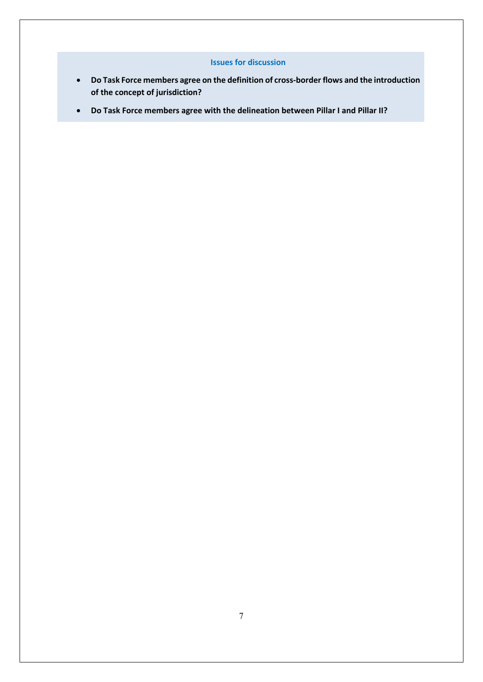### **Issues for discussion**

- **Do Task Force members agree on the definition of cross-border flows and the introduction of the concept of jurisdiction?**
- **Do Task Force members agree with the delineation between Pillar I and Pillar II?**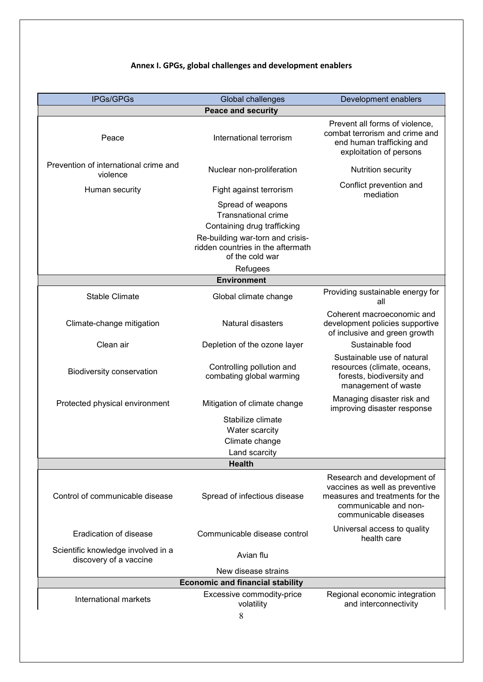## **Annex I. GPGs, global challenges and development enablers**

| IPGs/GPGs                                                    | Global challenges                                                                                                  | Development enablers                                                                                                                               |  |  |
|--------------------------------------------------------------|--------------------------------------------------------------------------------------------------------------------|----------------------------------------------------------------------------------------------------------------------------------------------------|--|--|
|                                                              | <b>Peace and security</b>                                                                                          |                                                                                                                                                    |  |  |
| Peace                                                        | International terrorism                                                                                            | Prevent all forms of violence,<br>combat terrorism and crime and<br>end human trafficking and<br>exploitation of persons                           |  |  |
| Prevention of international crime and<br>violence            | Nuclear non-proliferation                                                                                          | Nutrition security                                                                                                                                 |  |  |
| Human security                                               | Fight against terrorism                                                                                            | Conflict prevention and<br>mediation                                                                                                               |  |  |
|                                                              | Spread of weapons<br><b>Transnational crime</b><br>Containing drug trafficking<br>Re-building war-torn and crisis- |                                                                                                                                                    |  |  |
|                                                              | ridden countries in the aftermath<br>of the cold war                                                               |                                                                                                                                                    |  |  |
|                                                              | Refugees                                                                                                           |                                                                                                                                                    |  |  |
|                                                              | <b>Environment</b>                                                                                                 |                                                                                                                                                    |  |  |
| <b>Stable Climate</b>                                        | Global climate change                                                                                              | Providing sustainable energy for<br>all                                                                                                            |  |  |
| Climate-change mitigation                                    | Natural disasters                                                                                                  | Coherent macroeconomic and<br>development policies supportive<br>of inclusive and green growth                                                     |  |  |
| Clean air                                                    | Depletion of the ozone layer                                                                                       | Sustainable food                                                                                                                                   |  |  |
| Biodiversity conservation                                    | Controlling pollution and<br>combating global warming                                                              | Sustainable use of natural<br>resources (climate, oceans,<br>forests, biodiversity and<br>management of waste                                      |  |  |
| Protected physical environment                               | Mitigation of climate change                                                                                       | Managing disaster risk and<br>improving disaster response                                                                                          |  |  |
|                                                              | Stabilize climate                                                                                                  |                                                                                                                                                    |  |  |
|                                                              | Water scarcity                                                                                                     |                                                                                                                                                    |  |  |
|                                                              | Climate change                                                                                                     |                                                                                                                                                    |  |  |
|                                                              | Land scarcity                                                                                                      |                                                                                                                                                    |  |  |
|                                                              | <b>Health</b>                                                                                                      |                                                                                                                                                    |  |  |
| Control of communicable disease                              | Spread of infectious disease                                                                                       | Research and development of<br>vaccines as well as preventive<br>measures and treatments for the<br>communicable and non-<br>communicable diseases |  |  |
| Eradication of disease                                       | Communicable disease control                                                                                       | Universal access to quality<br>health care                                                                                                         |  |  |
| Scientific knowledge involved in a<br>discovery of a vaccine | Avian flu                                                                                                          |                                                                                                                                                    |  |  |
|                                                              | New disease strains                                                                                                |                                                                                                                                                    |  |  |
| <b>Economic and financial stability</b>                      |                                                                                                                    |                                                                                                                                                    |  |  |
| International markets                                        | Excessive commodity-price<br>volatility<br>8                                                                       | Regional economic integration<br>and interconnectivity                                                                                             |  |  |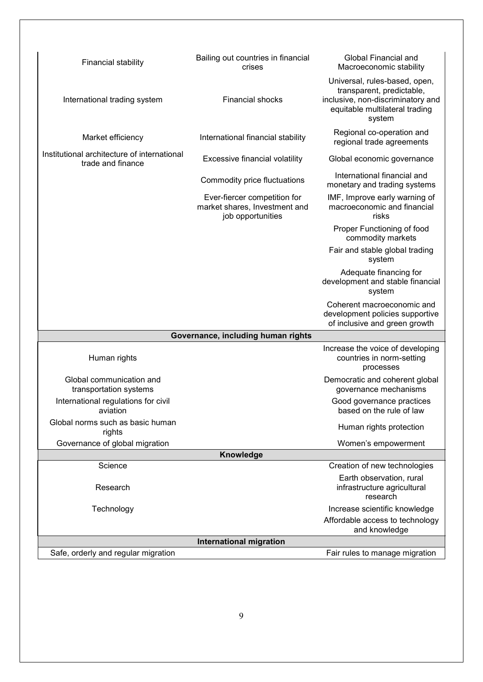| Financial stability                                              | Bailing out countries in financial<br>crises                                       | Global Financial and<br>Macroeconomic stability                                                                                             |  |  |  |
|------------------------------------------------------------------|------------------------------------------------------------------------------------|---------------------------------------------------------------------------------------------------------------------------------------------|--|--|--|
| International trading system                                     | <b>Financial shocks</b>                                                            | Universal, rules-based, open,<br>transparent, predictable,<br>inclusive, non-discriminatory and<br>equitable multilateral trading<br>system |  |  |  |
| Market efficiency                                                | International financial stability                                                  | Regional co-operation and<br>regional trade agreements                                                                                      |  |  |  |
| Institutional architecture of international<br>trade and finance | Excessive financial volatility                                                     | Global economic governance                                                                                                                  |  |  |  |
|                                                                  | Commodity price fluctuations                                                       | International financial and<br>monetary and trading systems                                                                                 |  |  |  |
|                                                                  | Ever-fiercer competition for<br>market shares, Investment and<br>job opportunities | IMF, Improve early warning of<br>macroeconomic and financial<br>risks                                                                       |  |  |  |
|                                                                  |                                                                                    | Proper Functioning of food<br>commodity markets                                                                                             |  |  |  |
|                                                                  |                                                                                    | Fair and stable global trading<br>system                                                                                                    |  |  |  |
|                                                                  |                                                                                    | Adequate financing for<br>development and stable financial<br>system                                                                        |  |  |  |
|                                                                  |                                                                                    | Coherent macroeconomic and<br>development policies supportive<br>of inclusive and green growth                                              |  |  |  |
| Governance, including human rights                               |                                                                                    |                                                                                                                                             |  |  |  |
| Human rights                                                     |                                                                                    | Increase the voice of developing<br>countries in norm-setting<br>processes                                                                  |  |  |  |
| Global communication and<br>transportation systems               |                                                                                    | Democratic and coherent global<br>governance mechanisms                                                                                     |  |  |  |
| International regulations for civil<br>aviation                  |                                                                                    | Good governance practices<br>based on the rule of law                                                                                       |  |  |  |
| Global norms such as basic human<br>rights                       |                                                                                    | Human rights protection                                                                                                                     |  |  |  |
| Governance of global migration                                   |                                                                                    | Women's empowerment                                                                                                                         |  |  |  |
| Knowledge                                                        |                                                                                    |                                                                                                                                             |  |  |  |
| Science                                                          |                                                                                    | Creation of new technologies                                                                                                                |  |  |  |
| Research                                                         |                                                                                    | Earth observation, rural<br>infrastructure agricultural<br>research                                                                         |  |  |  |
| Technology                                                       |                                                                                    | Increase scientific knowledge                                                                                                               |  |  |  |
|                                                                  |                                                                                    | Affordable access to technology<br>and knowledge                                                                                            |  |  |  |
| <b>International migration</b>                                   |                                                                                    |                                                                                                                                             |  |  |  |
| Safe, orderly and regular migration                              |                                                                                    | Fair rules to manage migration                                                                                                              |  |  |  |